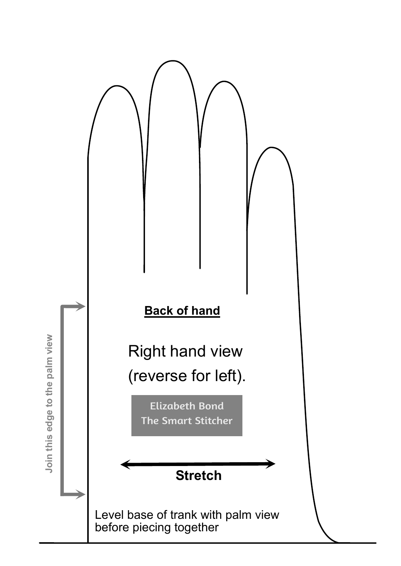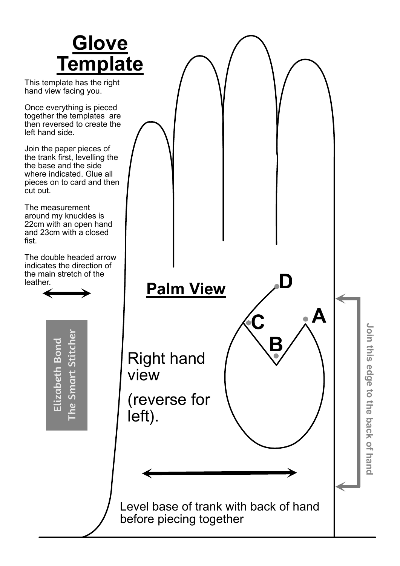

This template has the right hand view facing you.

Once everything is pieced together the templates are then reversed to create the left hand side.

Join the paper pieces of the trank first, levelling the the base and the side where indicated. Glue all pieces on to card and then cut out.

The measurement around my knuckles is 22cm with an open hand and 23cm with a closed fist.

The double headed arrow indicates the direction of the main stretch of the leather.

> Elizabeth Bond The Smart Stitcher

Elizabeth Bond

The Smart Stitcher

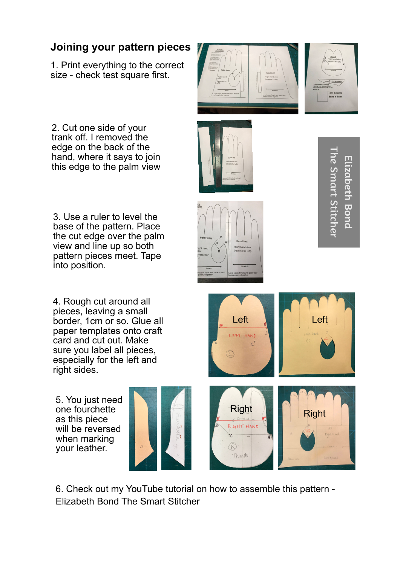## **Joining your pattern pieces**

1. Print everything to the correct size - check test square first.

2. Cut one side of your trank off. I removed the edge on the back of the hand, where it says to join this edge to the palm view

3. Use a ruler to level the base of the pattern. Place the cut edge over the palm view and line up so both pattern pieces meet. Tape into position.

4. Rough cut around all pieces, leaving a small border, 1cm or so. Glue all paper templates onto craft card and cut out. Make sure you label all pieces, especially for the left and right sides.

5. You just need one fourchette as this piece will be reversed when marking your leather.











Thurilo

The Smart Stitcher**The Smart Stitcher** Elizabeth Bond **Lizabeth Bond** 



6. Check out my YouTube tutorial on how to assemble this pattern - Elizabeth Bond The Smart Stitcher